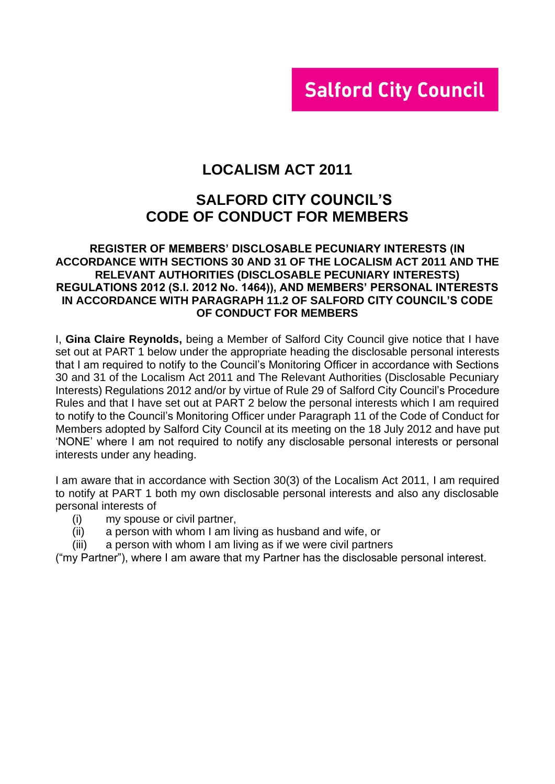# **Salford City Council**

# **LOCALISM ACT 2011**

# **SALFORD CITY COUNCIL'S CODE OF CONDUCT FOR MEMBERS**

#### **REGISTER OF MEMBERS' DISCLOSABLE PECUNIARY INTERESTS (IN ACCORDANCE WITH SECTIONS 30 AND 31 OF THE LOCALISM ACT 2011 AND THE RELEVANT AUTHORITIES (DISCLOSABLE PECUNIARY INTERESTS) REGULATIONS 2012 (S.I. 2012 No. 1464)), AND MEMBERS' PERSONAL INTERESTS IN ACCORDANCE WITH PARAGRAPH 11.2 OF SALFORD CITY COUNCIL'S CODE OF CONDUCT FOR MEMBERS**

I, **Gina Claire Reynolds,** being a Member of Salford City Council give notice that I have set out at PART 1 below under the appropriate heading the disclosable personal interests that I am required to notify to the Council's Monitoring Officer in accordance with Sections 30 and 31 of the Localism Act 2011 and The Relevant Authorities (Disclosable Pecuniary Interests) Regulations 2012 and/or by virtue of Rule 29 of Salford City Council's Procedure Rules and that I have set out at PART 2 below the personal interests which I am required to notify to the Council's Monitoring Officer under Paragraph 11 of the Code of Conduct for Members adopted by Salford City Council at its meeting on the 18 July 2012 and have put 'NONE' where I am not required to notify any disclosable personal interests or personal interests under any heading.

I am aware that in accordance with Section 30(3) of the Localism Act 2011, I am required to notify at PART 1 both my own disclosable personal interests and also any disclosable personal interests of

- (i) my spouse or civil partner,
- (ii) a person with whom I am living as husband and wife, or
- (iii) a person with whom I am living as if we were civil partners

("my Partner"), where I am aware that my Partner has the disclosable personal interest.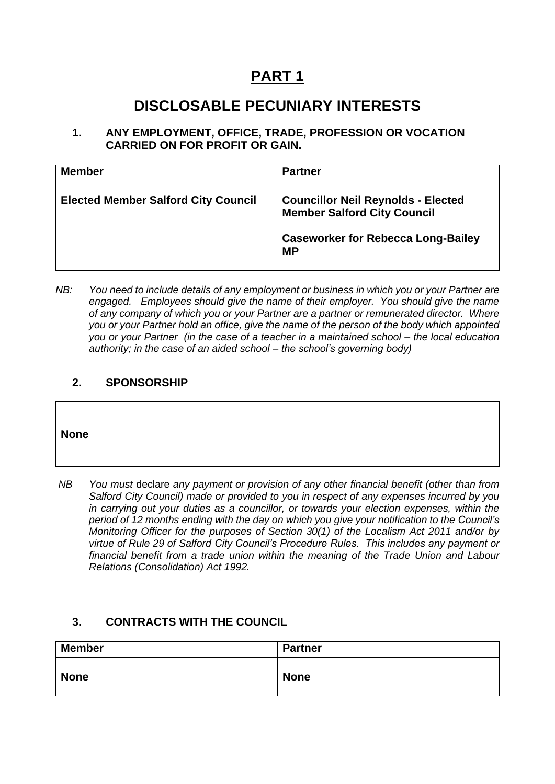# **PART 1**

# **DISCLOSABLE PECUNIARY INTERESTS**

**1. ANY EMPLOYMENT, OFFICE, TRADE, PROFESSION OR VOCATION CARRIED ON FOR PROFIT OR GAIN.**

| <b>Member</b>                              | <b>Partner</b>                                                                  |
|--------------------------------------------|---------------------------------------------------------------------------------|
| <b>Elected Member Salford City Council</b> | <b>Councillor Neil Reynolds - Elected</b><br><b>Member Salford City Council</b> |
|                                            | <b>Caseworker for Rebecca Long-Bailey</b><br><b>MP</b>                          |

*NB: You need to include details of any employment or business in which you or your Partner are engaged. Employees should give the name of their employer. You should give the name of any company of which you or your Partner are a partner or remunerated director. Where you or your Partner hold an office, give the name of the person of the body which appointed you or your Partner (in the case of a teacher in a maintained school – the local education authority; in the case of an aided school – the school's governing body)*

#### **2. SPONSORSHIP**

#### **None**

*NB You must* declare *any payment or provision of any other financial benefit (other than from Salford City Council) made or provided to you in respect of any expenses incurred by you in carrying out your duties as a councillor, or towards your election expenses, within the period of 12 months ending with the day on which you give your notification to the Council's Monitoring Officer for the purposes of Section 30(1) of the Localism Act 2011 and/or by virtue of Rule 29 of Salford City Council's Procedure Rules. This includes any payment or financial benefit from a trade union within the meaning of the Trade Union and Labour Relations (Consolidation) Act 1992.* 

#### **3. CONTRACTS WITH THE COUNCIL**

| <b>Member</b> | Partner     |
|---------------|-------------|
| <b>None</b>   | <b>None</b> |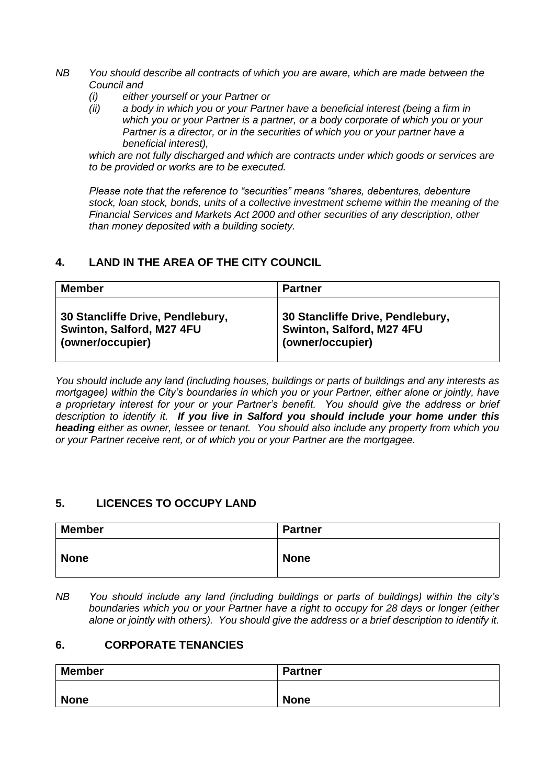- *NB You should describe all contracts of which you are aware, which are made between the Council and* 
	- *(i) either yourself or your Partner or*
	- *(ii) a body in which you or your Partner have a beneficial interest (being a firm in which you or your Partner is a partner, or a body corporate of which you or your Partner is a director, or in the securities of which you or your partner have a beneficial interest),*

*which are not fully discharged and which are contracts under which goods or services are to be provided or works are to be executed.*

*Please note that the reference to "securities" means "shares, debentures, debenture stock, loan stock, bonds, units of a collective investment scheme within the meaning of the Financial Services and Markets Act 2000 and other securities of any description, other than money deposited with a building society.*

### **4. LAND IN THE AREA OF THE CITY COUNCIL**

| <b>Member</b>                    | <b>Partner</b>                   |
|----------------------------------|----------------------------------|
| 30 Stancliffe Drive, Pendlebury, | 30 Stancliffe Drive, Pendlebury, |
| Swinton, Salford, M27 4FU        | Swinton, Salford, M27 4FU        |
| (owner/occupier)                 | (owner/occupier)                 |

*You should include any land (including houses, buildings or parts of buildings and any interests as mortgagee) within the City's boundaries in which you or your Partner, either alone or jointly, have a proprietary interest for your or your Partner's benefit. You should give the address or brief description to identify it. If you live in Salford you should include your home under this heading either as owner, lessee or tenant. You should also include any property from which you or your Partner receive rent, or of which you or your Partner are the mortgagee.*

### **5. LICENCES TO OCCUPY LAND**

| <b>Member</b> | <b>Partner</b> |
|---------------|----------------|
| <b>None</b>   | <b>None</b>    |

*NB You should include any land (including buildings or parts of buildings) within the city's boundaries which you or your Partner have a right to occupy for 28 days or longer (either alone or jointly with others). You should give the address or a brief description to identify it.*

#### **6. CORPORATE TENANCIES**

| <b>Member</b> | <b>Partner</b> |
|---------------|----------------|
| <b>None</b>   | <b>None</b>    |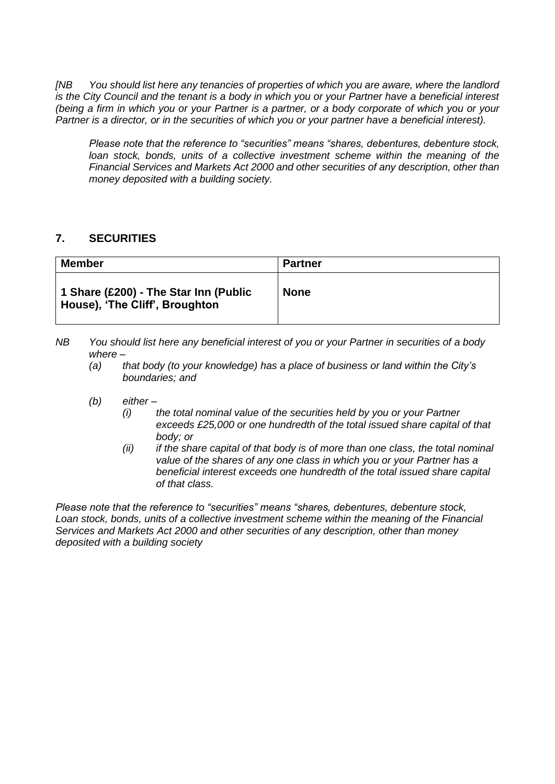*[NB You should list here any tenancies of properties of which you are aware, where the landlord is the City Council and the tenant is a body in which you or your Partner have a beneficial interest (being a firm in which you or your Partner is a partner, or a body corporate of which you or your Partner is a director, or in the securities of which you or your partner have a beneficial interest).* 

*Please note that the reference to "securities" means "shares, debentures, debenture stock,*  loan stock, bonds, units of a collective investment scheme within the meaning of the *Financial Services and Markets Act 2000 and other securities of any description, other than money deposited with a building society.*

### **7. SECURITIES**

| <b>Member</b>                                                           | <b>Partner</b> |
|-------------------------------------------------------------------------|----------------|
| 1 Share (£200) - The Star Inn (Public<br>House), 'The Cliff', Broughton | <b>None</b>    |

- *NB You should list here any beneficial interest of you or your Partner in securities of a body where –*
	- *(a) that body (to your knowledge) has a place of business or land within the City's boundaries; and*
	- *(b) either –*
		- *(i) the total nominal value of the securities held by you or your Partner exceeds £25,000 or one hundredth of the total issued share capital of that body; or*
		- *(ii) if the share capital of that body is of more than one class, the total nominal value of the shares of any one class in which you or your Partner has a beneficial interest exceeds one hundredth of the total issued share capital of that class.*

*Please note that the reference to "securities" means "shares, debentures, debenture stock, Loan stock, bonds, units of a collective investment scheme within the meaning of the Financial Services and Markets Act 2000 and other securities of any description, other than money deposited with a building society*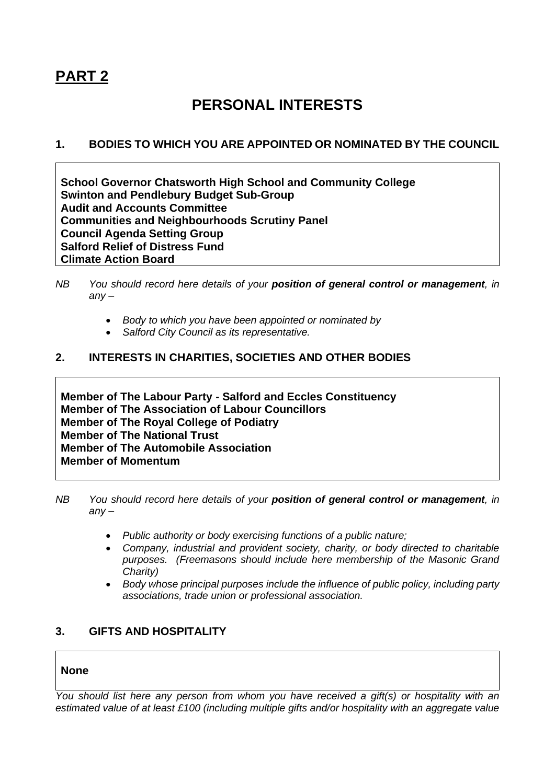# **PART 2**

# **PERSONAL INTERESTS**

### **1. BODIES TO WHICH YOU ARE APPOINTED OR NOMINATED BY THE COUNCIL**

**School Governor Chatsworth High School and Community College Swinton and Pendlebury Budget Sub-Group Audit and Accounts Committee Communities and Neighbourhoods Scrutiny Panel Council Agenda Setting Group Salford Relief of Distress Fund Climate Action Board**

- *Body to which you have been appointed or nominated by*
- *Salford City Council as its representative.*

#### **2. INTERESTS IN CHARITIES, SOCIETIES AND OTHER BODIES**

**Member of The Labour Party - Salford and Eccles Constituency Member of The Association of Labour Councillors Member of The Royal College of Podiatry Member of The National Trust Member of The Automobile Association Member of Momentum**

- *NB You should record here details of your position of general control or management, in any –*
	- *Public authority or body exercising functions of a public nature;*
	- *Company, industrial and provident society, charity, or body directed to charitable purposes. (Freemasons should include here membership of the Masonic Grand Charity)*
	- *Body whose principal purposes include the influence of public policy, including party associations, trade union or professional association.*

### **3. GIFTS AND HOSPITALITY**

#### **None**

*You should list here any person from whom you have received a gift(s) or hospitality with an estimated value of at least £100 (including multiple gifts and/or hospitality with an aggregate value* 

*NB You should record here details of your position of general control or management, in any –*